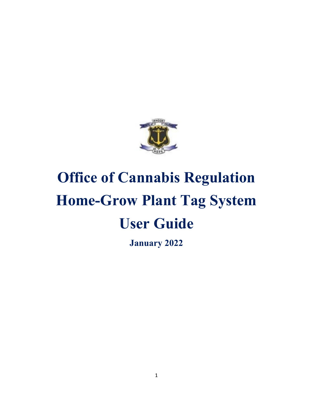

# **Office of Cannabis Regulation Home-Grow Plant Tag System User Guide**

**January 2022**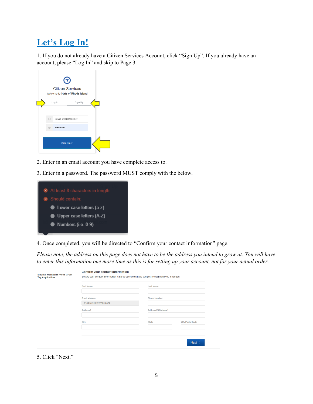# **Let's Log In!**

1. If you do not already have a Citizen Services Account, click "Sign Up". If you already have an account, please "Log In" and skip to Page 3.

|        |                           | $\bm{\Theta}$<br><b>Citizen Services</b><br>Welcome to State of Rhode Island |  |
|--------|---------------------------|------------------------------------------------------------------------------|--|
|        | Log In                    | Sign Up                                                                      |  |
|        |                           |                                                                              |  |
| $\Box$ | Erica.Ferrelli@dbr.ri.gov |                                                                              |  |
| A      |                           |                                                                              |  |
|        |                           | Sign Up >                                                                    |  |

- 2. Enter in an email account you have complete access to.
- 3. Enter in a password. The password MUST comply with the below.



4. Once completed, you will be directed to "Confirm your contact information" page.

*Please note, the address on this page does not have to be the address you intend to grow at. You will have to enter this information one more time as this is for setting up your account, not for your actual order.* 

|  | <b>First Name</b>        | <b>Last Name</b>            |                        |
|--|--------------------------|-----------------------------|------------------------|
|  |                          |                             |                        |
|  | <b>Email address</b>     | <b>Phone Number</b>         |                        |
|  | erica.ferrelli@gmail.com |                             |                        |
|  | Address <sub>1</sub>     | <b>Address 2 (Optional)</b> |                        |
|  |                          |                             |                        |
|  | City                     | <b>State</b>                | <b>ZIP/Postal Code</b> |
|  |                          |                             |                        |
|  |                          |                             |                        |

5. Click "Next."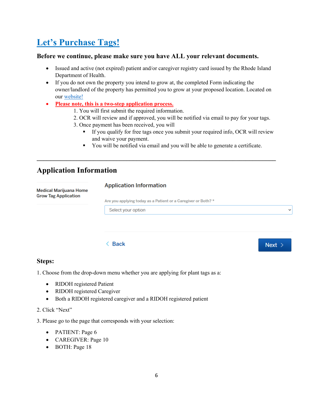# **Let's Purchase Tags!**

#### **Before we continue, please make sure you have ALL your relevant documents.**

- Issued and active (not expired) patient and/or caregiver registry card issued by the Rhode Island Department of Health.
- If you do not own the property you intend to grow at, the completed Form indicating the owner/landlord of the property has permitted you to grow at your proposed location. Located on our [website!](https://dbr.ri.gov/divisions/medicalmarijuana/)

**\_\_\_\_\_\_\_\_\_\_\_\_\_\_\_\_\_\_\_\_\_\_\_\_\_\_\_\_\_\_\_\_\_\_\_\_\_\_\_\_\_\_\_\_\_\_\_\_\_\_\_\_\_\_\_\_\_\_\_\_\_\_\_\_\_\_\_\_\_\_\_\_** 

- **Please note, this is a two-step application process.**
	- 1. You will first submit the required information.
	- 2. OCR will review and if approved, you will be notified via email to pay for your tags.
	- 3. Once payment has been received, you will
		- If you qualify for free tags once you submit your required info, OCR will review and waive your payment.
		- You will be notified via email and you will be able to generate a certificate.

### **Application Information**

| Medical Marijuana Home<br><b>Grow Tag Application</b> | <b>Application Information</b>                                |              |
|-------------------------------------------------------|---------------------------------------------------------------|--------------|
|                                                       | Are you applying today as a Patient or a Caregiver or Both? * |              |
|                                                       | Select your option                                            | $\checkmark$ |
|                                                       |                                                               |              |

 $Next >$ 

#### $\langle$  Back

#### **Steps:**

1. Choose from the drop-down menu whether you are applying for plant tags as a:

- RIDOH registered Patient
- RIDOH registered Caregiver
- Both a RIDOH registered caregiver and a RIDOH registered patient

#### 2. Click "Next"

3. Please go to the page that corresponds with your selection:

- PATIENT: Page 6
- CAREGIVER: Page 10
- BOTH: Page 18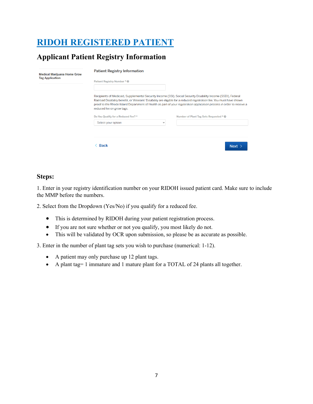# **RIDOH REGISTERED PATIENT**

### **Applicant Patient Registry Information**

| <b>Medical Marijuana Home Grow</b><br><b>Tag Application</b> | <b>Patient Registry Information</b>                                                                                                                                                                                                                                                                                                                                                                                                                                           |          |  |  |  |
|--------------------------------------------------------------|-------------------------------------------------------------------------------------------------------------------------------------------------------------------------------------------------------------------------------------------------------------------------------------------------------------------------------------------------------------------------------------------------------------------------------------------------------------------------------|----------|--|--|--|
|                                                              | Patient Registry Number * <sup>●</sup>                                                                                                                                                                                                                                                                                                                                                                                                                                        |          |  |  |  |
|                                                              | Recipients of Medicaid, Supplemental Security Income (SSI), Social Security Disability Income (SSDI), Federal<br>Railroad Disability benefit, or Veterans' Disability are eligible for a reduced registration fee. You must have shown<br>proof to the Rhode Island Department of Health as part of your registration application process in order to receive a<br>reduced fee on grow tags.<br>Do You Qualify for a Reduced Fee? *<br>Number of Plant Tag Sets Requested * @ |          |  |  |  |
|                                                              | Select your option<br>$\checkmark$                                                                                                                                                                                                                                                                                                                                                                                                                                            |          |  |  |  |
|                                                              |                                                                                                                                                                                                                                                                                                                                                                                                                                                                               |          |  |  |  |
|                                                              | <b>Back</b>                                                                                                                                                                                                                                                                                                                                                                                                                                                                   | Next $>$ |  |  |  |

#### **Steps:**

1. Enter in your registry identification number on your RIDOH issued patient card. Make sure to include the MMP before the numbers.

2. Select from the Dropdown (Yes/No) if you qualify for a reduced fee.

- This is determined by RIDOH during your patient registration process.
- If you are not sure whether or not you qualify, you most likely do not.
- This will be validated by OCR upon submission, so please be as accurate as possible.

3. Enter in the number of plant tag sets you wish to purchase (numerical: 1-12).

- A patient may only purchase up 12 plant tags.
- A plant tag= 1 immature and 1 mature plant for a TOTAL of 24 plants all together.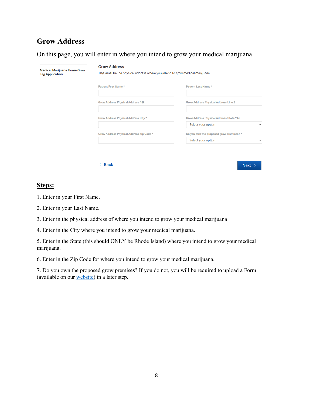### **Grow Address**

On this page, you will enter in where you intend to grow your medical marijuana.

| <b>Medical Marijuana Home Grow</b><br><b>Tag Application</b> | <b>Grow Address</b><br>This must be the physical address where you intend to grow medical marijuana. |                                                                                |  |
|--------------------------------------------------------------|------------------------------------------------------------------------------------------------------|--------------------------------------------------------------------------------|--|
|                                                              | Patient First Name*                                                                                  | Patient Last Name*                                                             |  |
|                                                              | Grow Address Physical Address * @                                                                    | <b>Grow Address Physical Address Line 2</b>                                    |  |
|                                                              | Grow Address Physical Address City *                                                                 | Grow Address Physical Address State * @<br>Select your option<br>$\checkmark$  |  |
|                                                              | Grow Address Physical Address Zip Code *                                                             | Do you own the proposed grow premises? *<br>Select your option<br>$\checkmark$ |  |
|                                                              |                                                                                                      |                                                                                |  |
|                                                              | <b>Back</b>                                                                                          | Next >                                                                         |  |

#### **Steps:**

- 1. Enter in your First Name.
- 2. Enter in your Last Name.
- 3. Enter in the physical address of where you intend to grow your medical marijuana
- 4. Enter in the City where you intend to grow your medical marijuana.

5. Enter in the State (this should ONLY be Rhode Island) where you intend to grow your medical marijuana.

6. Enter in the Zip Code for where you intend to grow your medical marijuana.

7. Do you own the proposed grow premises? If you do not, you will be required to upload a Form (available on our [website\)](https://dbr.ri.gov/divisions/medicalmarijuana/) in a later step.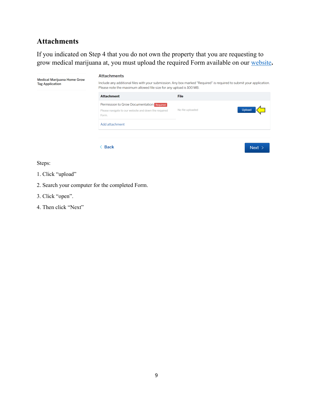### **Attachments**

If you indicated on Step 4 that you do not own the property that you are requesting to grow medical marijuana at, you must upload the required Form available on our [website](https://dbr.ri.gov/divisions/medicalmarijuana/)**.** 

| <b>Medical Marijuana Home Grow</b><br><b>Tag Application</b> | <b>Attachments</b><br>Include any additional files with your submission. Any box marked "Required" is required to submit your application.<br>Please note the maximum allowed file size for any upload is 100 MB. |                            |  |
|--------------------------------------------------------------|-------------------------------------------------------------------------------------------------------------------------------------------------------------------------------------------------------------------|----------------------------|--|
|                                                              | <b>Attachment</b>                                                                                                                                                                                                 | <b>File</b>                |  |
|                                                              | Permission to Grow Documentation Required<br>Please navigate to our website and down the required<br>Form.                                                                                                        | Upload<br>No file uploaded |  |
|                                                              | Add attachment                                                                                                                                                                                                    |                            |  |
|                                                              |                                                                                                                                                                                                                   |                            |  |
|                                                              | <b>Back</b>                                                                                                                                                                                                       | Next >                     |  |

Steps:

- 1. Click "upload"
- 2. Search your computer for the completed Form.
- 3. Click "open".
- 4. Then click "Next"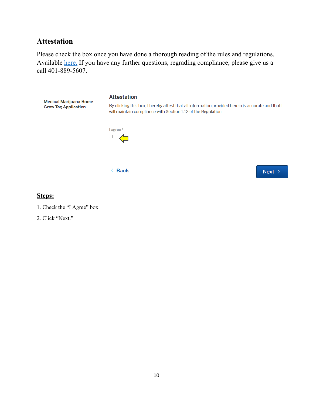### **Attestation**

Please check the box once you have done a thorough reading of the rules and regulations. Available [here.](https://risos-apa-production-public.s3.amazonaws.com/DBR/REG_10920_20200305150755.pdf) If you have any further questions, regrading compliance, please give us a call 401-889-5607.



#### **Steps:**



2. Click "Next."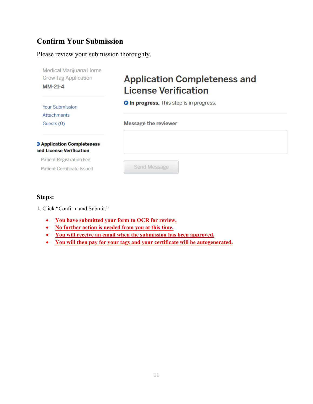### **Confirm Your Submission**

Please review your submission thoroughly.

| Medical Marijuana Home<br><b>Grow Tag Application</b>         | <b>Application Completeness and</b>             |
|---------------------------------------------------------------|-------------------------------------------------|
| $MM-21-4$                                                     | <b>License Verification</b>                     |
| <b>Your Submission</b><br><b>Attachments</b>                  | <b>O In progress.</b> This step is in progress. |
| Guests (0)                                                    | <b>Message the reviewer</b>                     |
| <b>D</b> Application Completeness<br>and License Verification |                                                 |
| <b>Patient Registration Fee</b>                               |                                                 |
| <b>Patient Certificate Issued</b>                             | Send Message                                    |

#### **Steps:**

1. Click "Confirm and Submit."

- **You have submitted your form to OCR for review.**
- **No further action is needed from you at this time.**
- **You will receive an email when the submission has been approved.**
- **You will then pay for your tags and your certificate will be autogenerated.**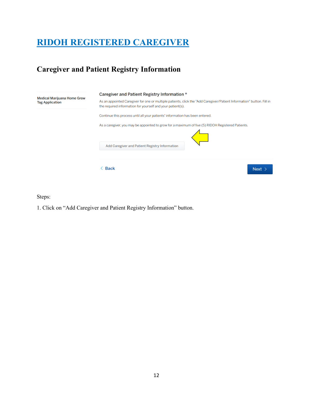# **RIDOH REGISTERED CAREGIVER**

### **Caregiver and Patient Registry Information**

| <b>Medical Marijuana Home Grow</b><br><b>Tag Application</b> | Caregiver and Patient Registry Information *<br>As an appointed Caregiver for one or multiple patients, click the "Add Caregiver/Patient Information" button. Fill in<br>the required information for yourself and your patient(s).<br>Continue this process until all your patients' information has been entered. |
|--------------------------------------------------------------|---------------------------------------------------------------------------------------------------------------------------------------------------------------------------------------------------------------------------------------------------------------------------------------------------------------------|
|                                                              | As a caregiver, you may be appointed to grow for a maximum of five (5) RIDOH Registered Patients.<br>Add Caregiver and Patient Registry Information                                                                                                                                                                 |
|                                                              | <b>Back</b><br>Next >                                                                                                                                                                                                                                                                                               |

Steps:

1. Click on "Add Caregiver and Patient Registry Information" button.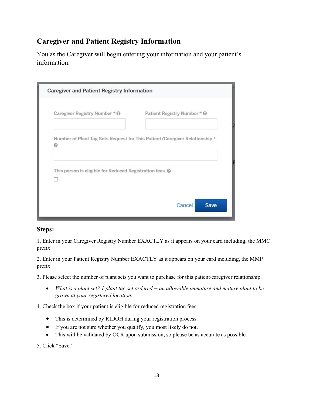### **Caregiver and Patient Registry Information**

You as the Caregiver will begin entering your information and your patient's information.

| Caregiver Registry Number * @                            | Patient Registry Number * @                                                |
|----------------------------------------------------------|----------------------------------------------------------------------------|
| ฌ                                                        | Number of Plant Tag Sets Request for This Patient/Caregiver Relationship * |
|                                                          |                                                                            |
| This person is eligible for Reduced Registration fees. @ |                                                                            |

#### **Steps:**

1. Enter in your Caregiver Registry Number EXACTLY as it appears on your card including, the MMC prefix.

2. Enter in your Patient's Registry Number EXACTLY as it appears on your card including, the MMP prefix. *NOTE: This is not your personal Patient number. Rather, it is the number belonging to your patient.* 

3. Please select the number of plant sets you want to purchase for this patient/caregiver relationship.

• *What is a plant set? 1 plant tag set ordered = an allowable immature and mature plant to be grown at your registered location.*

4. Check the box if your patient is eligible for reduced registration fees.

- This is determined by RIDOH during your registration process.
- If you are not sure whether you qualify, you most likely do not.
- This will be validated by OCR upon submission, so please be as accurate as possible.

5. Click "Save."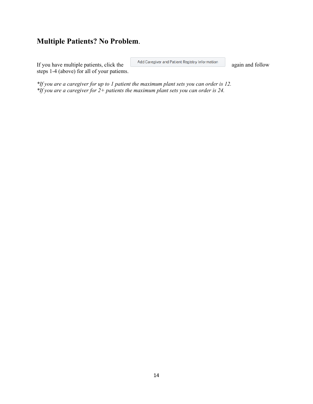### **Multiple Patients? No Problem**.

If you have multiple patients, click the and Caregiver and Patient Registry Information again and follow steps 1-4 (above) for all of your patients.

*\*If you are a caregiver for up to 1 patient the maximum plant sets you can order is 12. \*If you are a caregiver for 2+ patients the maximum plant sets you can order is 24.*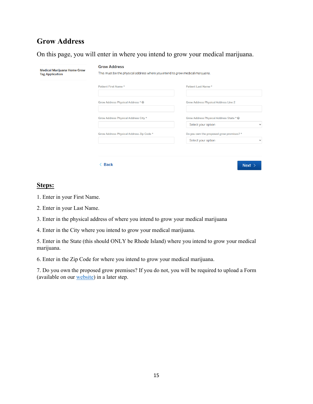### **Grow Address**

On this page, you will enter in where you intend to grow your medical marijuana.

| <b>Tag Application</b> | This must be the physical address where you intend to grow medical marijuana. |                                                                               |
|------------------------|-------------------------------------------------------------------------------|-------------------------------------------------------------------------------|
|                        | Patient First Name *                                                          | Patient Last Name*                                                            |
|                        | Grow Address Physical Address * @                                             | <b>Grow Address Physical Address Line 2</b>                                   |
|                        | Grow Address Physical Address City *                                          | Grow Address Physical Address State * @<br>Select your option<br>$\checkmark$ |
|                        | Grow Address Physical Address Zip Code *                                      | Do you own the proposed grow premises? *                                      |

#### **Steps:**

- 1. Enter in your First Name.
- 2. Enter in your Last Name.
- 3. Enter in the physical address of where you intend to grow your medical marijuana
- 4. Enter in the City where you intend to grow your medical marijuana.

5. Enter in the State (this should ONLY be Rhode Island) where you intend to grow your medical marijuana.

6. Enter in the Zip Code for where you intend to grow your medical marijuana.

7. Do you own the proposed grow premises? If you do not, you will be required to upload a Form (available on our [website\)](https://dbr.ri.gov/divisions/medicalmarijuana/) in a later step.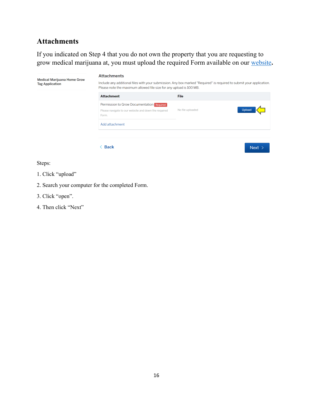### **Attachments**

If you indicated on Step 4 that you do not own the property that you are requesting to grow medical marijuana at, you must upload the required Form available on our [website](https://dbr.ri.gov/divisions/medicalmarijuana/)**.** 

| <b>Medical Marijuana Home Grow</b><br><b>Tag Application</b> | <b>Attachments</b><br>Include any additional files with your submission. Any box marked "Required" is required to submit your application.<br>Please note the maximum allowed file size for any upload is 100 MB. |                            |  |
|--------------------------------------------------------------|-------------------------------------------------------------------------------------------------------------------------------------------------------------------------------------------------------------------|----------------------------|--|
|                                                              | <b>Attachment</b>                                                                                                                                                                                                 | <b>File</b>                |  |
|                                                              | Permission to Grow Documentation Required<br>Please navigate to our website and down the required<br>Form.                                                                                                        | Upload<br>No file uploaded |  |
|                                                              | Add attachment                                                                                                                                                                                                    |                            |  |
|                                                              |                                                                                                                                                                                                                   |                            |  |
|                                                              | <b>Back</b>                                                                                                                                                                                                       | Next >                     |  |

Steps:

- 1. Click "upload"
- 2. Search your computer for the completed Form.
- 3. Click "open".
- 4. Then click "Next"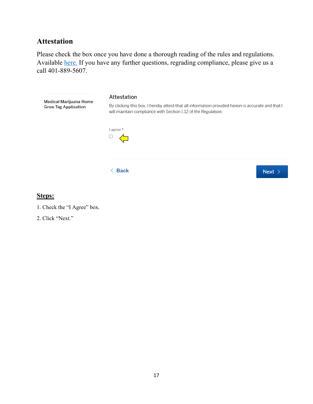### **Attestation**

Please check the box once you have done a thorough reading of the rules and regulations. Available [here.](https://risos-apa-production-public.s3.amazonaws.com/DBR/REG_10920_20200305150755.pdf) If you have any further questions, regrading compliance, please give us a call 401-889-5607.



#### **Steps:**



2. Click "Next."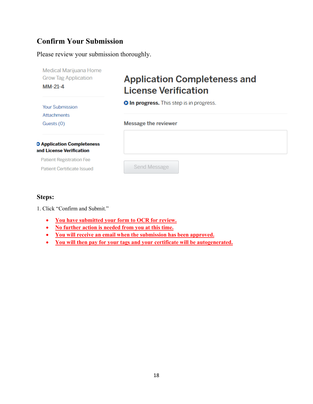### **Confirm Your Submission**

Please review your submission thoroughly.

| Medical Marijuana Home<br><b>Grow Tag Application</b>         | <b>Application Completeness and</b>             |
|---------------------------------------------------------------|-------------------------------------------------|
| $MM-21-4$                                                     | <b>License Verification</b>                     |
| <b>Your Submission</b><br><b>Attachments</b>                  | <b>O In progress.</b> This step is in progress. |
| Guests (0)                                                    | <b>Message the reviewer</b>                     |
| <b>D</b> Application Completeness<br>and License Verification |                                                 |
| <b>Patient Registration Fee</b>                               |                                                 |
| <b>Patient Certificate Issued</b>                             | Send Message                                    |

#### **Steps:**

1. Click "Confirm and Submit."

- **You have submitted your form to OCR for review.**
- **No further action is needed from you at this time.**
- **You will receive an email when the submission has been approved.**
- **You will then pay for your tags and your certificate will be autogenerated.**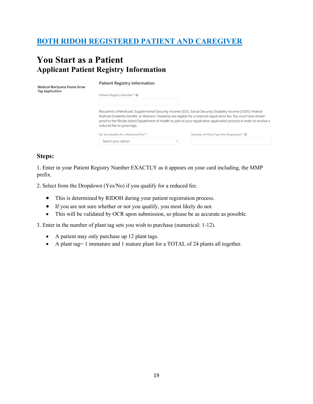### **BOTH RIDOH REGISTERED PATIENT AND CAREGIVER**

### **You Start as a Patient Applicant Patient Registry Information**

| <b>Medical Marijuana Home Grow</b> | <b>Patient Registry Information</b>                                                                                                                                                                                                                                                                                                                                                          |
|------------------------------------|----------------------------------------------------------------------------------------------------------------------------------------------------------------------------------------------------------------------------------------------------------------------------------------------------------------------------------------------------------------------------------------------|
| <b>Tag Application</b>             | Patient Registry Number * @                                                                                                                                                                                                                                                                                                                                                                  |
|                                    | Recipients of Medicaid, Supplemental Security Income (SSI), Social Security Disability Income (SSDI), Federal<br>Railroad Disability benefit, or Veterans' Disability are eligible for a reduced registration fee. You must have shown<br>proof to the Rhode Island Department of Health as part of your registration application process in order to receive a<br>reduced fee on grow tags. |
|                                    | Do You Oualify for a Reduced Fee? *<br>Number of Plant Tag Sets Requested * @                                                                                                                                                                                                                                                                                                                |
|                                    | Select your option<br>$\checkmark$                                                                                                                                                                                                                                                                                                                                                           |

#### **Steps:**

1. Enter in your Patient Registry Number EXACTLY as it appears on your card including, the MMP prefix.

2. Select from the Dropdown (Yes/No) if you qualify for a reduced fee.

- This is determined by RIDOH during your patient registration process.
- If you are not sure whether or not you qualify, you most likely do not.
- This will be validated by OCR upon submission, so please be as accurate as possible.

3. Enter in the number of plant tag sets you wish to purchase (numerical: 1-12).

- A patient may only purchase up 12 plant tags.
- A plant tag= 1 immature and 1 mature plant for a TOTAL of 24 plants all together.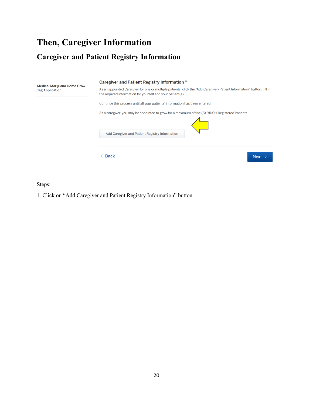# **Then, Caregiver Information**

### **Caregiver and Patient Registry Information**



Steps:

1. Click on "Add Caregiver and Patient Registry Information" button.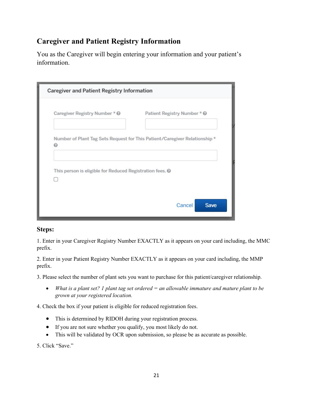### **Caregiver and Patient Registry Information**

You as the Caregiver will begin entering your information and your patient's information.

| Caregiver Registry Number * @                            | Patient Registry Number * @                                                |
|----------------------------------------------------------|----------------------------------------------------------------------------|
| ฌ                                                        | Number of Plant Tag Sets Request for This Patient/Caregiver Relationship * |
|                                                          |                                                                            |
| This person is eligible for Reduced Registration fees. @ |                                                                            |

#### **Steps:**

1. Enter in your Caregiver Registry Number EXACTLY as it appears on your card including, the MMC prefix.

2. Enter in your Patient Registry Number EXACTLY as it appears on your card including, the MMP prefix.

3. Please select the number of plant sets you want to purchase for this patient/caregiver relationship.

• *What is a plant set? 1 plant tag set ordered = an allowable immature and mature plant to be grown at your registered location.* 

4. Check the box if your patient is eligible for reduced registration fees.

- This is determined by RIDOH during your registration process.
- If you are not sure whether you qualify, you most likely do not.
- This will be validated by OCR upon submission, so please be as accurate as possible.

5. Click "Save."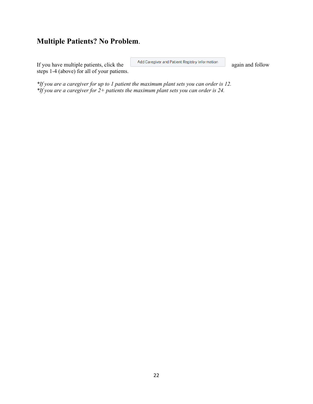### **Multiple Patients? No Problem**.

If you have multiple patients, click the and Caregiver and Patient Registry Information again and follow steps 1-4 (above) for all of your patients.

*\*If you are a caregiver for up to 1 patient the maximum plant sets you can order is 12. \*If you are a caregiver for 2+ patients the maximum plant sets you can order is 24.*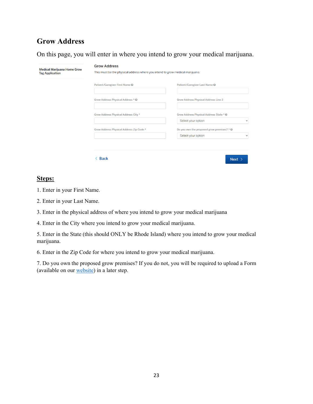### **Grow Address**

On this page, you will enter in where you intend to grow your medical marijuana.

| <b>Tag Application</b> | This must be the physical address where you intend to grow medical marijuana. |                                                                               |  |  |
|------------------------|-------------------------------------------------------------------------------|-------------------------------------------------------------------------------|--|--|
|                        | Patient/Caregiver First Name @                                                | Patient/Caregiver Last Name @                                                 |  |  |
|                        | Grow Address Physical Address * @                                             | <b>Grow Address Physical Address Line 2</b>                                   |  |  |
|                        | Grow Address Physical Address City *                                          | Grow Address Physical Address State * @<br>Select your option<br>$\checkmark$ |  |  |
|                        | Grow Address Physical Address Zip Code *                                      | Do you own the proposed grow premises? * $\Theta$                             |  |  |
|                        |                                                                               | Select your option<br>$\checkmark$                                            |  |  |

#### **Steps:**

1. Enter in your First Name.

2. Enter in your Last Name.

3. Enter in the physical address of where you intend to grow your medical marijuana

4. Enter in the City where you intend to grow your medical marijuana.

5. Enter in the State (this should ONLY be Rhode Island) where you intend to grow your medical marijuana.

6. Enter in the Zip Code for where you intend to grow your medical marijuana.

7. Do you own the proposed grow premises? If you do not, you will be required to upload a Form (available on our [website\)](https://dbr.ri.gov/divisions/medicalmarijuana/) in a later step.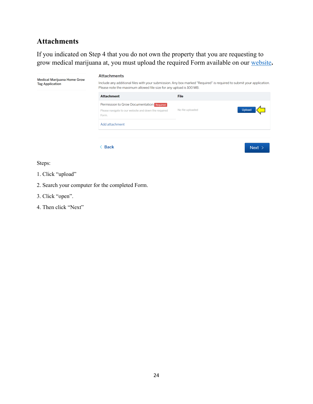### **Attachments**

If you indicated on Step 4 that you do not own the property that you are requesting to grow medical marijuana at, you must upload the required Form available on our [website](https://dbr.ri.gov/divisions/medicalmarijuana/)**.** 

| <b>Medical Marijuana Home Grow</b><br><b>Tag Application</b> | <b>Attachments</b><br>Include any additional files with your submission. Any box marked "Required" is required to submit your application.<br>Please note the maximum allowed file size for any upload is 100 MB. |                            |  |  |
|--------------------------------------------------------------|-------------------------------------------------------------------------------------------------------------------------------------------------------------------------------------------------------------------|----------------------------|--|--|
|                                                              | <b>Attachment</b>                                                                                                                                                                                                 | <b>File</b>                |  |  |
|                                                              | Permission to Grow Documentation Required<br>Please navigate to our website and down the required<br>Form.                                                                                                        | Upload<br>No file uploaded |  |  |
|                                                              | Add attachment                                                                                                                                                                                                    |                            |  |  |
|                                                              |                                                                                                                                                                                                                   |                            |  |  |
|                                                              | <b>Back</b>                                                                                                                                                                                                       | Next >                     |  |  |

Steps:

- 1. Click "upload"
- 2. Search your computer for the completed Form.
- 3. Click "open".
- 4. Then click "Next"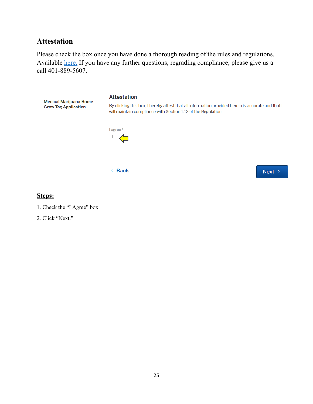### **Attestation**

Please check the box once you have done a thorough reading of the rules and regulations. Available [here.](https://risos-apa-production-public.s3.amazonaws.com/DBR/REG_10920_20200305150755.pdf) If you have any further questions, regrading compliance, please give us a call 401-889-5607.



#### **Steps:**



2. Click "Next."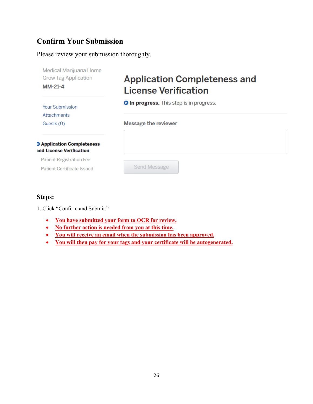### **Confirm Your Submission**

Please review your submission thoroughly.

| Medical Marijuana Home<br><b>Grow Tag Application</b>         | <b>Application Completeness and</b>             |  |  |  |
|---------------------------------------------------------------|-------------------------------------------------|--|--|--|
| $MM-21-4$                                                     | <b>License Verification</b>                     |  |  |  |
| <b>Your Submission</b><br><b>Attachments</b>                  | <b>O In progress.</b> This step is in progress. |  |  |  |
| Guests (0)                                                    | <b>Message the reviewer</b>                     |  |  |  |
| <b>D</b> Application Completeness<br>and License Verification |                                                 |  |  |  |
| <b>Patient Registration Fee</b>                               |                                                 |  |  |  |
| <b>Patient Certificate Issued</b>                             | Send Message                                    |  |  |  |

#### **Steps:**

1. Click "Confirm and Submit."

- **You have submitted your form to OCR for review.**
- **No further action is needed from you at this time.**
- **You will receive an email when the submission has been approved.**
- **You will then pay for your tags and your certificate will be autogenerated.**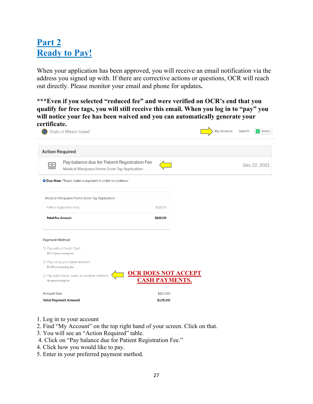# **Part 2 Ready to Pay!**

When your application has been approved, you will receive an email notification via the address you signed up with. If there are corrective actions or questions, OCR will reach out directly. Please monitor your email and phone for updates**.** 

**\*\*\*Even if you selected "reduced fee" and were verified on OCR's end that you qualify for free tags, you will still receive this email. When you log in to "pay" you will notice your fee has been waived and you can automatically generate your certificate.** 

| State of Rhode Island                                                                                     |                       |  | <b>My Account</b> | Search | Erica -      |
|-----------------------------------------------------------------------------------------------------------|-----------------------|--|-------------------|--------|--------------|
| <b>Action Required</b>                                                                                    |                       |  |                   |        |              |
| Pay balance due for Patient Registration Fee<br><u>ு</u><br>Medical Marijuana Home Grow Tag Application - |                       |  |                   |        | Dec 22, 2021 |
| O Due Now. Please make a payment in order to continue.                                                    |                       |  |                   |        |              |
| Medical Marijuana Home Grow Tag Application                                                               |                       |  |                   |        |              |
| <b>Patient Registration Fees</b>                                                                          | \$125.00              |  |                   |        |              |
| <b>Total Fee Amount</b>                                                                                   | \$125.00              |  |                   |        |              |
| <b>Payment Method</b>                                                                                     |                       |  |                   |        |              |
| O Pay with a Credit Card<br>\$4.73 processing fee                                                         |                       |  |                   |        |              |
| O Pay using your bank account<br>\$5.50 processing fee                                                    |                       |  |                   |        |              |
| <b>OCR DOES NOT ACCEPT</b><br>O Pay with check, cash, or another method<br>No processing fee              | <b>CASH PAYMENTS.</b> |  |                   |        |              |
| <b>Amount Due</b>                                                                                         | \$125.00              |  |                   |        |              |
| <b>Total Payment Amount</b>                                                                               | \$125.00              |  |                   |        |              |

- 1. Log in to your account
- 2. Find "My Account" on the top right hand of your screen. Click on that.
- 3. You will see an "Action Required" table.
- 4. Click on "Pay balance due for Patient Registration Fee."
- 4. Click how you would like to pay.
- 5. Enter in your preferred payment method.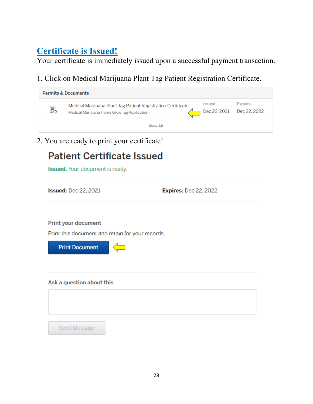# **Certificate is Issued!**

Your certificate is immediately issued upon a successful payment transaction.

1. Click on Medical Marijuana Plant Tag Patient Registration Certificate.

| <b>Permits &amp; Documents</b> |                                                                                                               |                                            |                |  |
|--------------------------------|---------------------------------------------------------------------------------------------------------------|--------------------------------------------|----------------|--|
| 昆                              | Medical Marijuana Plant Tag Patient Registration Certificate<br>Medical Marijuana Home Grow Tag Application - | <b>Issued</b><br>Dec 22, 2021 Dec 22, 2022 | <b>Expires</b> |  |
|                                | <b>View All</b>                                                                                               |                                            |                |  |

2. You are ready to print your certificate!

# **Patient Certificate Issued**

**Issued.** Your document is ready.

**Issued: Dec 22, 2021** 

**Expires: Dec 22, 2022** 

**Print your document** 

Print this document and retain for your records.



#### Ask a question about this

Send Message